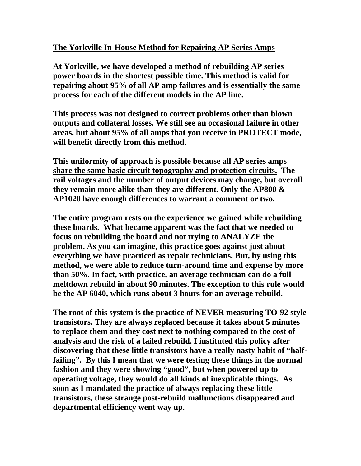# **The Yorkville In-House Method for Repairing AP Series Amps**

**At Yorkville, we have developed a method of rebuilding AP series power boards in the shortest possible time. This method is valid for repairing about 95% of all AP amp failures and is essentially the same process for each of the different models in the AP line.** 

**This process was not designed to correct problems other than blown outputs and collateral losses. We still see an occasional failure in other areas, but about 95% of all amps that you receive in PROTECT mode, will benefit directly from this method.** 

**This uniformity of approach is possible because all AP series amps share the same basic circuit topography and protection circuits. The rail voltages and the number of output devices may change, but overall they remain more alike than they are different. Only the AP800 & AP1020 have enough differences to warrant a comment or two.** 

**The entire program rests on the experience we gained while rebuilding these boards. What became apparent was the fact that we needed to focus on rebuilding the board and not trying to ANALYZE the problem. As you can imagine, this practice goes against just about everything we have practiced as repair technicians. But, by using this method, we were able to reduce turn-around time and expense by more than 50%. In fact, with practice, an average technician can do a full meltdown rebuild in about 90 minutes. The exception to this rule would be the AP 6040, which runs about 3 hours for an average rebuild.** 

**The root of this system is the practice of NEVER measuring TO-92 style transistors. They are always replaced because it takes about 5 minutes to replace them and they cost next to nothing compared to the cost of analysis and the risk of a failed rebuild. I instituted this policy after discovering that these little transistors have a really nasty habit of "halffailing". By this I mean that we were testing these things in the normal fashion and they were showing "good", but when powered up to operating voltage, they would do all kinds of inexplicable things. As soon as I mandated the practice of always replacing these little transistors, these strange post-rebuild malfunctions disappeared and departmental efficiency went way up.**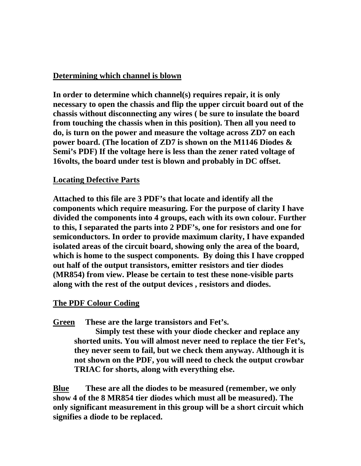#### **Determining which channel is blown**

**In order to determine which channel(s) requires repair, it is only necessary to open the chassis and flip the upper circuit board out of the chassis without disconnecting any wires ( be sure to insulate the board from touching the chassis when in this position). Then all you need to do, is turn on the power and measure the voltage across ZD7 on each power board. (The location of ZD7 is shown on the M1146 Diodes & Semi's PDF) If the voltage here is less than the zener rated voltage of 16volts, the board under test is blown and probably in DC offset.** 

## **Locating Defective Parts**

**Attached to this file are 3 PDF's that locate and identify all the components which require measuring. For the purpose of clarity I have divided the components into 4 groups, each with its own colour. Further to this, I separated the parts into 2 PDF's, one for resistors and one for semiconductors. In order to provide maximum clarity, I have expanded isolated areas of the circuit board, showing only the area of the board, which is home to the suspect components. By doing this I have cropped out half of the output transistors, emitter resistors and tier diodes (MR854) from view. Please be certain to test these none-visible parts along with the rest of the output devices , resistors and diodes.** 

## **The PDF Colour Coding**

**Green These are the large transistors and Fet's.** 

**Simply test these with your diode checker and replace any shorted units. You will almost never need to replace the tier Fet's, they never seem to fail, but we check them anyway. Although it is not shown on the PDF, you will need to check the output crowbar TRIAC for shorts, along with everything else.** 

**Blue These are all the diodes to be measured (remember, we only show 4 of the 8 MR854 tier diodes which must all be measured). The only significant measurement in this group will be a short circuit which signifies a diode to be replaced.**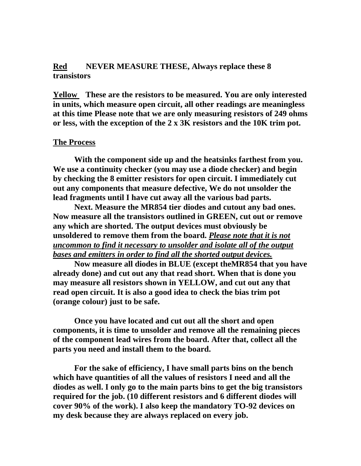# **Red NEVER MEASURE THESE, Always replace these 8 transistors**

**Yellow These are the resistors to be measured. You are only interested in units, which measure open circuit, all other readings are meaningless at this time Please note that we are only measuring resistors of 249 ohms or less, with the exception of the 2 x 3K resistors and the 10K trim pot.** 

#### **The Process**

**With the component side up and the heatsinks farthest from you. We use a continuity checker (you may use a diode checker) and begin by checking the 8 emitter resistors for open circuit. I immediately cut out any components that measure defective, We do not unsolder the lead fragments until I have cut away all the various bad parts.** 

**Next. Measure the MR854 tier diodes and cutout any bad ones. Now measure all the transistors outlined in GREEN, cut out or remove any which are shorted. The output devices must obviously be unsoldered to remove them from the board.** *Please note that it is not uncommon to find it necessary to unsolder and isolate all of the output bases and emitters in order to find all the shorted output devices.*

**Now measure all diodes in BLUE (except theMR854 that you have already done) and cut out any that read short. When that is done you may measure all resistors shown in YELLOW, and cut out any that read open circuit. It is also a good idea to check the bias trim pot (orange colour) just to be safe.** 

**Once you have located and cut out all the short and open components, it is time to unsolder and remove all the remaining pieces of the component lead wires from the board. After that, collect all the parts you need and install them to the board.** 

**For the sake of efficiency, I have small parts bins on the bench which have quantities of all the values of resistors I need and all the diodes as well. I only go to the main parts bins to get the big transistors required for the job. (10 different resistors and 6 different diodes will cover 90% of the work). I also keep the mandatory TO-92 devices on my desk because they are always replaced on every job.**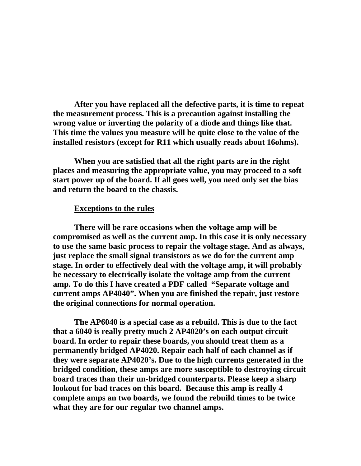**After you have replaced all the defective parts, it is time to repeat the measurement process. This is a precaution against installing the wrong value or inverting the polarity of a diode and things like that. This time the values you measure will be quite close to the value of the installed resistors (except for R11 which usually reads about 16ohms).** 

**When you are satisfied that all the right parts are in the right places and measuring the appropriate value, you may proceed to a soft start power up of the board. If all goes well, you need only set the bias and return the board to the chassis.** 

#### **Exceptions to the rules**

**There will be rare occasions when the voltage amp will be compromised as well as the current amp. In this case it is only necessary to use the same basic process to repair the voltage stage. And as always, just replace the small signal transistors as we do for the current amp stage. In order to effectively deal with the voltage amp, it will probably be necessary to electrically isolate the voltage amp from the current amp. To do this I have created a PDF called "Separate voltage and current amps AP4040". When you are finished the repair, just restore the original connections for normal operation.** 

**The AP6040 is a special case as a rebuild. This is due to the fact that a 6040 is really pretty much 2 AP4020's on each output circuit board. In order to repair these boards, you should treat them as a permanently bridged AP4020. Repair each half of each channel as if they were separate AP4020's. Due to the high currents generated in the bridged condition, these amps are more susceptible to destroying circuit board traces than their un-bridged counterparts. Please keep a sharp lookout for bad traces on this board. Because this amp is really 4 complete amps an two boards, we found the rebuild times to be twice what they are for our regular two channel amps.**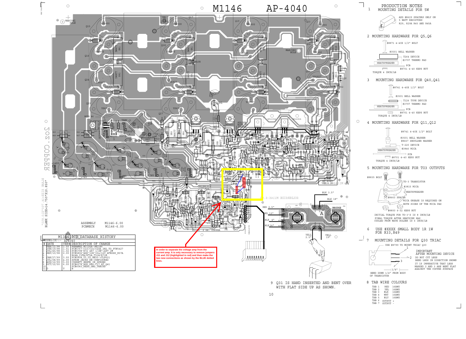WITH FLAT SIDE UP AS SHOWN. 9 Q31 IS HAND INSERTED AND BENT OVER



 $\bigcirc$ 

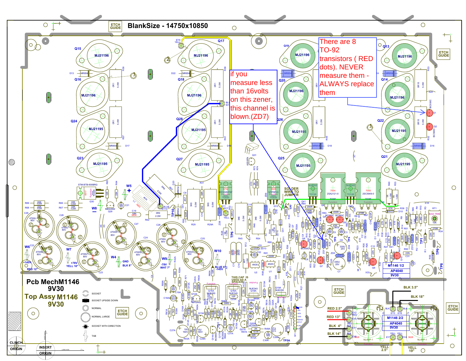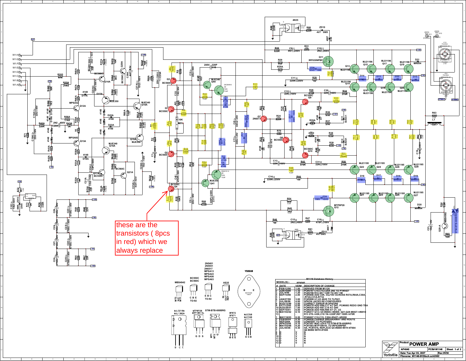